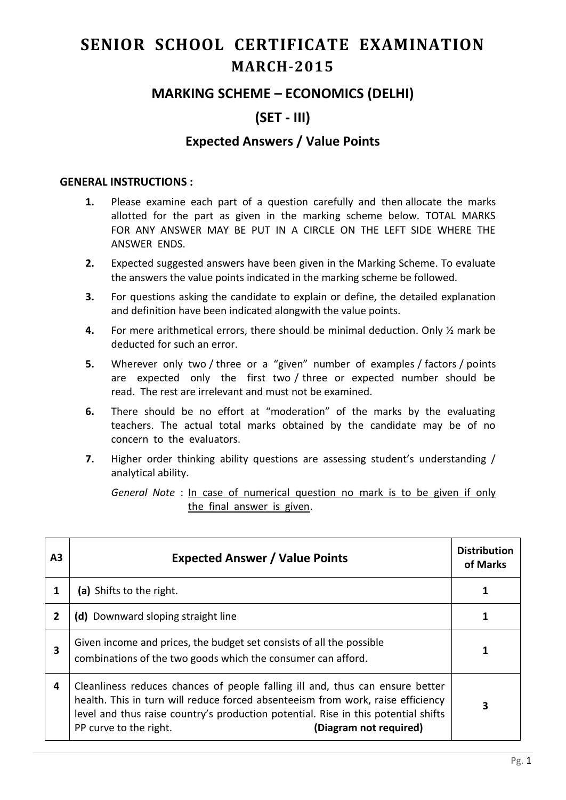# **SENIOR SCHOOL CERTIFICATE EXAMINATION MARCH-2015**

### **MARKING SCHEME – ECONOMICS (DELHI)**

## **(SET - III)**

### **Expected Answers / Value Points**

#### **GENERAL INSTRUCTIONS :**

- **1.** Please examine each part of a question carefully and then allocate the marks allotted for the part as given in the marking scheme below. TOTAL MARKS FOR ANY ANSWER MAY BE PUT IN A CIRCLE ON THE LEFT SIDE WHERE THE ANSWER ENDS.
- **2.** Expected suggested answers have been given in the Marking Scheme. To evaluate the answers the value points indicated in the marking scheme be followed.
- **3.** For questions asking the candidate to explain or define, the detailed explanation and definition have been indicated alongwith the value points.
- **4.** For mere arithmetical errors, there should be minimal deduction. Only ½ mark be deducted for such an error.
- **5.** Wherever only two / three or a "given" number of examples / factors / points are expected only the first two / three or expected number should be read. The rest are irrelevant and must not be examined.
- **6.** There should be no effort at "moderation" of the marks by the evaluating teachers. The actual total marks obtained by the candidate may be of no concern to the evaluators.
- **7.** Higher order thinking ability questions are assessing student's understanding / analytical ability.

*General Note* : In case of numerical question no mark is to be given if only the final answer is given.

| ΑЗ             | <b>Expected Answer / Value Points</b>                                                                                                                                                                                                                                                                      | <b>Distribution</b><br>of Marks |
|----------------|------------------------------------------------------------------------------------------------------------------------------------------------------------------------------------------------------------------------------------------------------------------------------------------------------------|---------------------------------|
|                | (a) Shifts to the right.                                                                                                                                                                                                                                                                                   |                                 |
| $\overline{2}$ | (d) Downward sloping straight line                                                                                                                                                                                                                                                                         |                                 |
| 3              | Given income and prices, the budget set consists of all the possible<br>combinations of the two goods which the consumer can afford.                                                                                                                                                                       |                                 |
| 4              | Cleanliness reduces chances of people falling ill and, thus can ensure better<br>health. This in turn will reduce forced absenteeism from work, raise efficiency<br>level and thus raise country's production potential. Rise in this potential shifts<br>(Diagram not required)<br>PP curve to the right. | 3                               |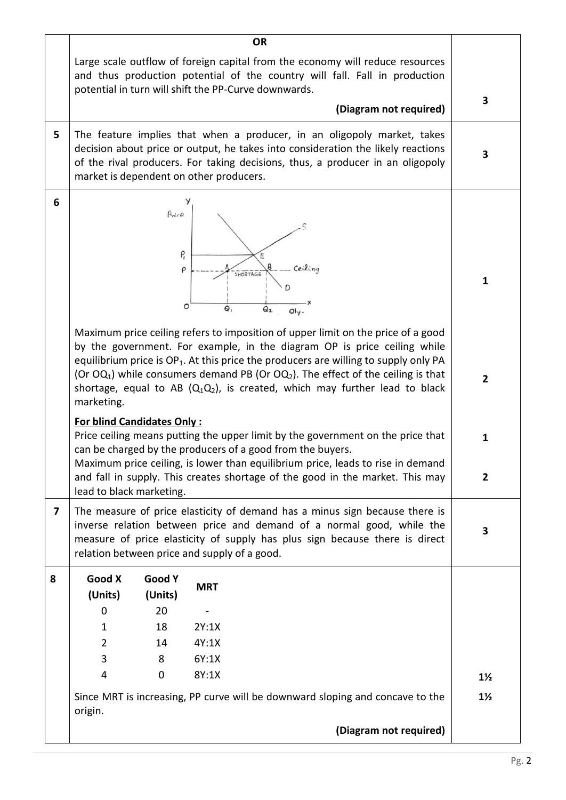| Large scale outflow of foreign capital from the economy will reduce resources                                                                                                                                                                                                                                                                                                                                                                     |                                |
|---------------------------------------------------------------------------------------------------------------------------------------------------------------------------------------------------------------------------------------------------------------------------------------------------------------------------------------------------------------------------------------------------------------------------------------------------|--------------------------------|
| and thus production potential of the country will fall. Fall in production<br>potential in turn will shift the PP-Curve downwards.                                                                                                                                                                                                                                                                                                                |                                |
| (Diagram not required)                                                                                                                                                                                                                                                                                                                                                                                                                            | 3                              |
| 5<br>The feature implies that when a producer, in an oligopoly market, takes<br>decision about price or output, he takes into consideration the likely reactions<br>of the rival producers. For taking decisions, thus, a producer in an oligopoly<br>market is dependent on other producers.                                                                                                                                                     | 3                              |
| 6<br>Price<br>P<br>Ceiling<br>ρ<br>SHORTAGE<br>0<br>$Q_{1}$<br>Q <sub>2</sub><br>$Q y$ .                                                                                                                                                                                                                                                                                                                                                          | 1                              |
| Maximum price ceiling refers to imposition of upper limit on the price of a good<br>by the government. For example, in the diagram OP is price ceiling while<br>equilibrium price is $OP_1$ . At this price the producers are willing to supply only PA<br>(Or $OQ_1$ ) while consumers demand PB (Or $OQ_2$ ). The effect of the ceiling is that<br>shortage, equal to AB $(Q_1Q_2)$ , is created, which may further lead to black<br>marketing. | $\overline{2}$                 |
| <b>For blind Candidates Only:</b><br>Price ceiling means putting the upper limit by the government on the price that<br>can be charged by the producers of a good from the buyers.<br>Maximum price ceiling, is lower than equilibrium price, leads to rise in demand<br>and fall in supply. This creates shortage of the good in the market. This may<br>lead to black marketing.                                                                | $\mathbf{1}$<br>$\overline{2}$ |
| The measure of price elasticity of demand has a minus sign because there is<br>$\overline{\mathbf{z}}$<br>inverse relation between price and demand of a normal good, while the<br>measure of price elasticity of supply has plus sign because there is direct<br>relation between price and supply of a good.                                                                                                                                    | 3                              |
| Good X<br><b>Good Y</b><br>8<br><b>MRT</b><br>(Units)<br>(Units)                                                                                                                                                                                                                                                                                                                                                                                  |                                |
| 20<br>0                                                                                                                                                                                                                                                                                                                                                                                                                                           |                                |
| 2Y:1X<br>18<br>1                                                                                                                                                                                                                                                                                                                                                                                                                                  |                                |
| $\overline{2}$<br>4Y:1X<br>14                                                                                                                                                                                                                                                                                                                                                                                                                     |                                |
| 3<br>8<br>6Y:1X                                                                                                                                                                                                                                                                                                                                                                                                                                   |                                |
| 4<br>$\mathbf 0$<br>8Y:1X                                                                                                                                                                                                                                                                                                                                                                                                                         | $1\frac{1}{2}$                 |
| Since MRT is increasing, PP curve will be downward sloping and concave to the<br>origin.                                                                                                                                                                                                                                                                                                                                                          | $1\frac{1}{2}$                 |
| (Diagram not required)                                                                                                                                                                                                                                                                                                                                                                                                                            |                                |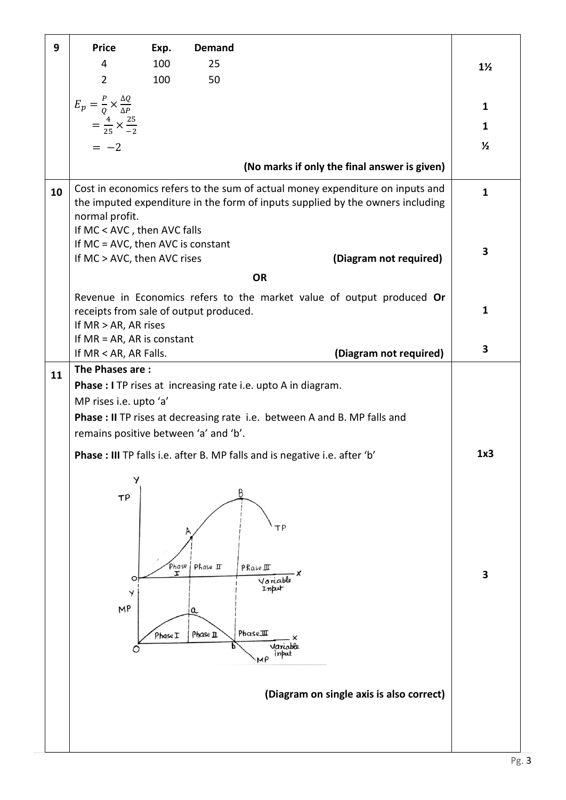| 9  | <b>Price</b>                                                                                                                                                                                                                            | Exp.       | <b>Demand</b>                                   |                                                               |                |
|----|-----------------------------------------------------------------------------------------------------------------------------------------------------------------------------------------------------------------------------------------|------------|-------------------------------------------------|---------------------------------------------------------------|----------------|
|    | 4                                                                                                                                                                                                                                       | 100        | 25                                              |                                                               | $1\frac{1}{2}$ |
|    | $\overline{2}$                                                                                                                                                                                                                          | 100        | 50                                              |                                                               |                |
|    | $E_p = \frac{P}{Q} \times \frac{\Delta Q}{\Delta P}$                                                                                                                                                                                    |            |                                                 |                                                               | $\mathbf{1}$   |
|    | $=\frac{4}{25}\times\frac{25}{-2}$                                                                                                                                                                                                      |            |                                                 |                                                               | $\mathbf{1}$   |
|    | $=-2$                                                                                                                                                                                                                                   |            |                                                 |                                                               | $\frac{1}{2}$  |
|    |                                                                                                                                                                                                                                         |            |                                                 |                                                               |                |
|    |                                                                                                                                                                                                                                         |            |                                                 | (No marks if only the final answer is given)                  |                |
| 10 | Cost in economics refers to the sum of actual money expenditure on inputs and<br>the imputed expenditure in the form of inputs supplied by the owners including<br>normal profit.<br>If MC < AVC, then AVC falls                        |            |                                                 |                                                               | $\mathbf{1}$   |
|    | If MC = AVC, then AVC is constant                                                                                                                                                                                                       |            |                                                 |                                                               |                |
|    | If MC > AVC, then AVC rises                                                                                                                                                                                                             |            |                                                 | (Diagram not required)                                        | 3              |
|    |                                                                                                                                                                                                                                         |            | <b>OR</b>                                       |                                                               |                |
|    | Revenue in Economics refers to the market value of output produced Or<br>receipts from sale of output produced.<br>If MR > AR, AR rises                                                                                                 |            |                                                 |                                                               |                |
|    | If $MR = AR$ , AR is constant                                                                                                                                                                                                           |            |                                                 |                                                               |                |
|    | If MR < AR, AR Falls.                                                                                                                                                                                                                   |            |                                                 | (Diagram not required)                                        | 3              |
| 11 | The Phases are:<br><b>Phase : I</b> TP rises at increasing rate i.e. upto A in diagram.<br>MP rises i.e. upto 'a'<br>Phase : II TP rises at decreasing rate i.e. between A and B. MP falls and<br>remains positive between 'a' and 'b'. |            |                                                 |                                                               |                |
|    | Phase : III TP falls i.e. after B. MP falls and is negative i.e. after 'b'                                                                                                                                                              |            |                                                 |                                                               | 1x3            |
|    | У<br>TP<br>$\circ$                                                                                                                                                                                                                      | Phase<br>r | Β<br>Phase II<br>PRase III<br>Variable<br>Input | ΤP                                                            | 3              |
|    | Y<br>MP<br>O                                                                                                                                                                                                                            | PhaseI     | a<br>PhaseIII<br>Phase II<br>MP                 | Variable<br>input<br>(Diagram on single axis is also correct) |                |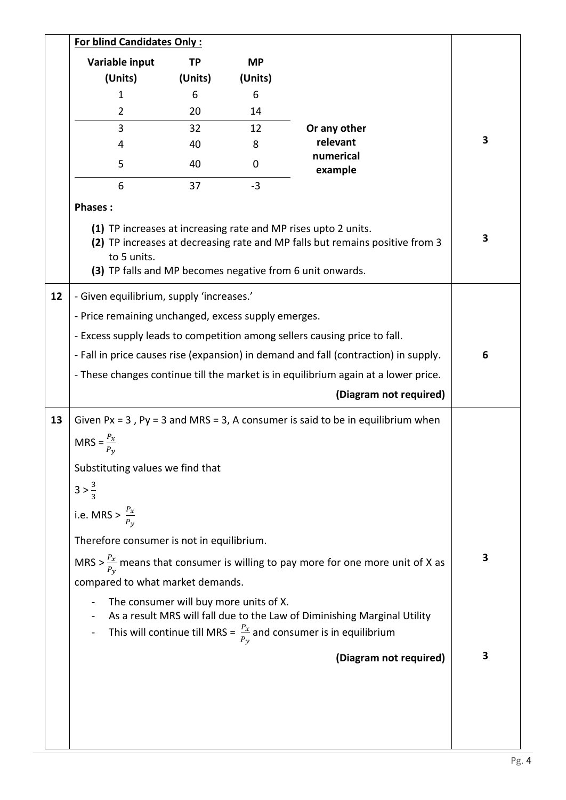|    | <b>For blind Candidates Only:</b>                                                            |         |                                        |                                                                                                                                                                                                             |   |
|----|----------------------------------------------------------------------------------------------|---------|----------------------------------------|-------------------------------------------------------------------------------------------------------------------------------------------------------------------------------------------------------------|---|
|    | Variable input                                                                               | TP      | <b>MP</b>                              |                                                                                                                                                                                                             |   |
|    | (Units)                                                                                      | (Units) | (Units)                                |                                                                                                                                                                                                             |   |
|    | 1                                                                                            | 6       | 6                                      |                                                                                                                                                                                                             |   |
|    | $\overline{2}$                                                                               | 20      | 14                                     |                                                                                                                                                                                                             |   |
|    | 3                                                                                            | 32      | 12                                     | Or any other                                                                                                                                                                                                |   |
|    | 4                                                                                            | 40      | 8                                      | relevant<br>numerical                                                                                                                                                                                       | 3 |
|    | 5                                                                                            | 40      | 0                                      | example                                                                                                                                                                                                     |   |
|    | 6                                                                                            | 37      | $-3$                                   |                                                                                                                                                                                                             |   |
|    | <b>Phases:</b>                                                                               |         |                                        |                                                                                                                                                                                                             |   |
|    | to 5 units.                                                                                  |         |                                        | (1) TP increases at increasing rate and MP rises upto 2 units.<br>(2) TP increases at decreasing rate and MP falls but remains positive from 3<br>(3) TP falls and MP becomes negative from 6 unit onwards. | 3 |
| 12 | - Given equilibrium, supply 'increases.'                                                     |         |                                        |                                                                                                                                                                                                             |   |
|    | - Price remaining unchanged, excess supply emerges.                                          |         |                                        |                                                                                                                                                                                                             |   |
|    | - Excess supply leads to competition among sellers causing price to fall.                    |         |                                        |                                                                                                                                                                                                             |   |
|    | - Fall in price causes rise (expansion) in demand and fall (contraction) in supply.          |         |                                        | 6                                                                                                                                                                                                           |   |
|    |                                                                                              |         |                                        | - These changes continue till the market is in equilibrium again at a lower price.                                                                                                                          |   |
|    |                                                                                              |         |                                        | (Diagram not required)                                                                                                                                                                                      |   |
| 13 |                                                                                              |         |                                        | Given $Px = 3$ , $Py = 3$ and MRS = 3, A consumer is said to be in equilibrium when                                                                                                                         |   |
|    | $MRS =$                                                                                      |         |                                        |                                                                                                                                                                                                             |   |
|    | Substituting values we find that                                                             |         |                                        |                                                                                                                                                                                                             |   |
|    | $3 > \frac{3}{3}$                                                                            |         |                                        |                                                                                                                                                                                                             |   |
|    | i.e. MRS > $\frac{P_x}{P_y}$                                                                 |         |                                        |                                                                                                                                                                                                             |   |
|    | Therefore consumer is not in equilibrium.                                                    |         |                                        |                                                                                                                                                                                                             |   |
|    | MRS > $\frac{P_x}{P_y}$ means that consumer is willing to pay more for one more unit of X as |         |                                        | 3                                                                                                                                                                                                           |   |
|    | compared to what market demands.                                                             |         |                                        |                                                                                                                                                                                                             |   |
|    |                                                                                              |         | The consumer will buy more units of X. | As a result MRS will fall due to the Law of Diminishing Marginal Utility<br>This will continue till MRS = $\frac{P_x}{P_y}$ and consumer is in equilibrium                                                  |   |
|    |                                                                                              |         |                                        | (Diagram not required)                                                                                                                                                                                      | 3 |
|    |                                                                                              |         |                                        |                                                                                                                                                                                                             |   |
|    |                                                                                              |         |                                        |                                                                                                                                                                                                             |   |
|    |                                                                                              |         |                                        |                                                                                                                                                                                                             |   |
|    |                                                                                              |         |                                        |                                                                                                                                                                                                             |   |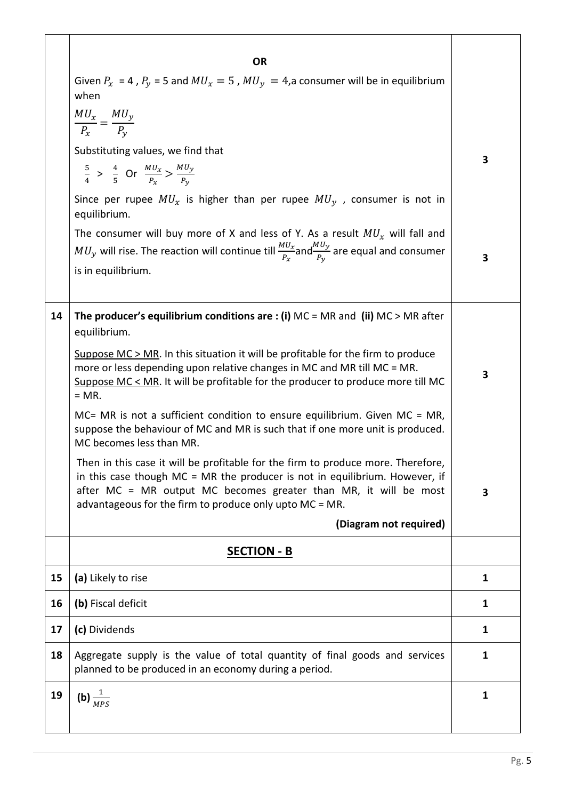|    | <b>OR</b><br>Given $P_x = 4$ , $P_y = 5$ and $MU_x = 5$ , $MU_y = 4$ , a consumer will be in equilibrium<br>when                                                                                                                                                                                 |              |
|----|--------------------------------------------------------------------------------------------------------------------------------------------------------------------------------------------------------------------------------------------------------------------------------------------------|--------------|
|    | $\frac{MU_x}{P_x} = \frac{MU_y}{P_y}$                                                                                                                                                                                                                                                            |              |
|    | Substituting values, we find that                                                                                                                                                                                                                                                                | 3            |
|    | $rac{5}{4}$ > $rac{4}{5}$ Or $rac{M U_x}{P_x}$ > $rac{M U_y}{P_y}$                                                                                                                                                                                                                               |              |
|    | Since per rupee $MU_x$ is higher than per rupee $MU_y$ , consumer is not in<br>equilibrium.                                                                                                                                                                                                      |              |
|    | The consumer will buy more of X and less of Y. As a result $MU_x$ will fall and                                                                                                                                                                                                                  |              |
|    | $MU_y$ will rise. The reaction will continue till $\frac{MU_x}{P_x}$ and $\frac{MU_y}{P_y}$ are equal and consumer<br>is in equilibrium.                                                                                                                                                         | 3            |
|    |                                                                                                                                                                                                                                                                                                  |              |
| 14 | The producer's equilibrium conditions are : (i) $MC = MR$ and (ii) $MC > MR$ after<br>equilibrium.                                                                                                                                                                                               |              |
|    | Suppose $MC > MR$ . In this situation it will be profitable for the firm to produce<br>more or less depending upon relative changes in MC and MR till MC = MR.<br>Suppose MC < MR. It will be profitable for the producer to produce more till MC<br>$= MR$ .                                    | 3            |
|    | $MC = MR$ is not a sufficient condition to ensure equilibrium. Given $MC = MR$ ,<br>suppose the behaviour of MC and MR is such that if one more unit is produced.<br>MC becomes less than MR.                                                                                                    |              |
|    | Then in this case it will be profitable for the firm to produce more. Therefore,<br>in this case though $MC = MR$ the producer is not in equilibrium. However, if<br>after MC = MR output MC becomes greater than MR, it will be most<br>advantageous for the firm to produce only upto MC = MR. | 3            |
|    | (Diagram not required)                                                                                                                                                                                                                                                                           |              |
|    | <b>SECTION - B</b>                                                                                                                                                                                                                                                                               |              |
| 15 | (a) Likely to rise                                                                                                                                                                                                                                                                               | 1            |
| 16 | (b) Fiscal deficit                                                                                                                                                                                                                                                                               | $\mathbf{1}$ |
| 17 | (c) Dividends                                                                                                                                                                                                                                                                                    | $\mathbf{1}$ |
| 18 | Aggregate supply is the value of total quantity of final goods and services<br>planned to be produced in an economy during a period.                                                                                                                                                             | $\mathbf{1}$ |
| 19 | (b) $\frac{1}{MPS}$                                                                                                                                                                                                                                                                              | $\mathbf{1}$ |
|    |                                                                                                                                                                                                                                                                                                  |              |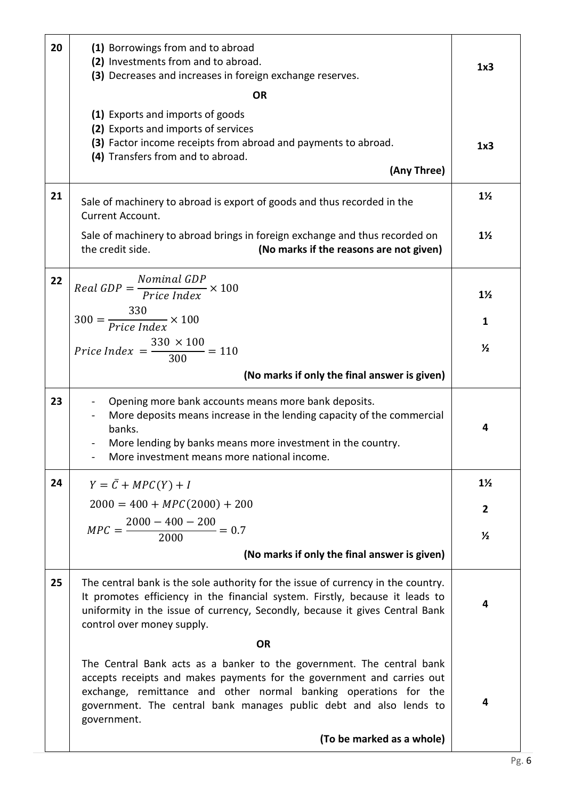| 20 | (1) Borrowings from and to abroad<br>(2) Investments from and to abroad.<br>(3) Decreases and increases in foreign exchange reserves.                                                                                                                                                                    |                |  |  |
|----|----------------------------------------------------------------------------------------------------------------------------------------------------------------------------------------------------------------------------------------------------------------------------------------------------------|----------------|--|--|
|    | <b>OR</b>                                                                                                                                                                                                                                                                                                |                |  |  |
|    | (1) Exports and imports of goods<br>(2) Exports and imports of services<br>(3) Factor income receipts from abroad and payments to abroad.<br>(4) Transfers from and to abroad.<br>(Any Three)                                                                                                            | 1x3            |  |  |
| 21 | Sale of machinery to abroad is export of goods and thus recorded in the<br>Current Account.                                                                                                                                                                                                              | $1\frac{1}{2}$ |  |  |
|    | Sale of machinery to abroad brings in foreign exchange and thus recorded on<br>the credit side.<br>(No marks if the reasons are not given)                                                                                                                                                               | $1\frac{1}{2}$ |  |  |
| 22 | $Real GDP = \frac{Nominal GDP}{Price Index} \times 100$                                                                                                                                                                                                                                                  | $1\frac{1}{2}$ |  |  |
|    | $300 = \frac{330}{Price Index} \times 100$                                                                                                                                                                                                                                                               | $\mathbf{1}$   |  |  |
|    | <i>Price Index</i> = $\frac{330 \times 100}{300}$ = 110                                                                                                                                                                                                                                                  | $\frac{1}{2}$  |  |  |
|    | (No marks if only the final answer is given)                                                                                                                                                                                                                                                             |                |  |  |
| 23 | Opening more bank accounts means more bank deposits.<br>More deposits means increase in the lending capacity of the commercial<br>banks.<br>More lending by banks means more investment in the country.<br>More investment means more national income.                                                   | 4              |  |  |
| 24 | $Y = \overline{C} + MPC(Y) + I$                                                                                                                                                                                                                                                                          | $1\frac{1}{2}$ |  |  |
|    | $2000 = 400 + MPC(2000) + 200$                                                                                                                                                                                                                                                                           | $\overline{2}$ |  |  |
|    | $MPC = \frac{2000 - 400 - 200}{2000} = 0.7$                                                                                                                                                                                                                                                              | $\frac{1}{2}$  |  |  |
|    | (No marks if only the final answer is given)                                                                                                                                                                                                                                                             |                |  |  |
| 25 | The central bank is the sole authority for the issue of currency in the country.<br>It promotes efficiency in the financial system. Firstly, because it leads to<br>uniformity in the issue of currency, Secondly, because it gives Central Bank<br>control over money supply.                           | 4              |  |  |
|    | <b>OR</b>                                                                                                                                                                                                                                                                                                |                |  |  |
|    | The Central Bank acts as a banker to the government. The central bank<br>accepts receipts and makes payments for the government and carries out<br>exchange, remittance and other normal banking operations for the<br>government. The central bank manages public debt and also lends to<br>government. | 4              |  |  |
|    | (To be marked as a whole)                                                                                                                                                                                                                                                                                |                |  |  |